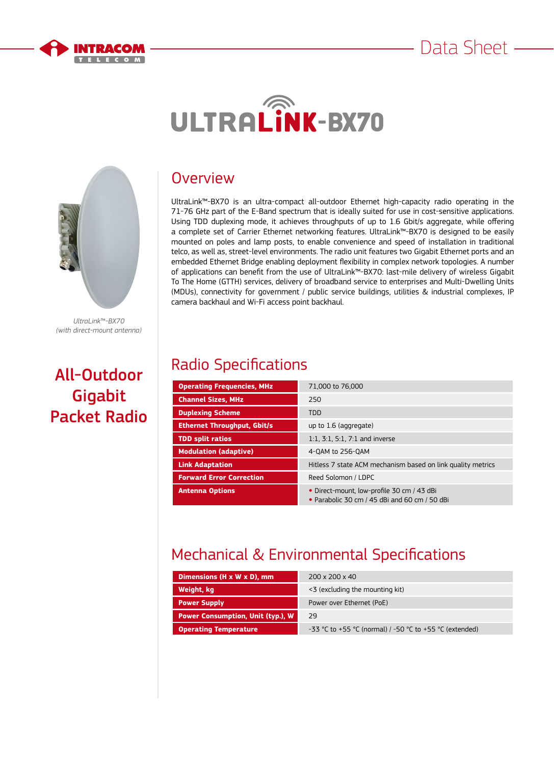







*UltraLink™-BX70 (with direct-mount antenna)*

All-Outdoor Gigabit Packet Radio

# **Overview**

UltraLink™-BX70 is an ultra-compact all-outdoor Ethernet high-capacity radio operating in the 71-76 GHz part of the E-Band spectrum that is ideally suited for use in cost-sensitive applications. Using TDD duplexing mode, it achieves throughputs of up to 1.6 Gbit/s aggregate, while offering a complete set of Carrier Ethernet networking features. UltraLink™-BX70 is designed to be easily mounted on poles and lamp posts, to enable convenience and speed of installation in traditional telco, as well as, street-level environments. The radio unit features two Gigabit Ethernet ports and an embedded Ethernet Bridge enabling deployment flexibility in complex network topologies. A number of applications can benefit from the use of UltraLink™-BX70: last-mile delivery of wireless Gigabit To The Home (GTTH) services, delivery of broadband service to enterprises and Multi-Dwelling Units (MDUs), connectivity for government / public service buildings, utilities & industrial complexes, IP camera backhaul and Wi-Fi access point backhaul.

# Radio Specifications

| <b>Operating Frequencies, MHz</b>  | 71,000 to 76,000                                                                            |  |  |
|------------------------------------|---------------------------------------------------------------------------------------------|--|--|
| <b>Channel Sizes, MHz</b>          | 250                                                                                         |  |  |
| <b>Duplexing Scheme</b>            | TDD                                                                                         |  |  |
| <b>Ethernet Throughput, Gbit/s</b> | up to 1.6 (aggregate)                                                                       |  |  |
| <b>TDD split ratios</b>            | $1:1, 3:1, 5:1, 7:1$ and inverse                                                            |  |  |
| <b>Modulation (adaptive)</b>       | 4-QAM to 256-OAM                                                                            |  |  |
| <b>Link Adaptation</b>             | Hitless 7 state ACM mechanism based on link quality metrics                                 |  |  |
| <b>Forward Error Correction</b>    | Reed Solomon / LDPC                                                                         |  |  |
| <b>Antenna Options</b>             | • Direct-mount, low-profile 30 cm / 43 dBi<br>• Parabolic 30 cm / 45 dBi and 60 cm / 50 dBi |  |  |

# Mechanical & Environmental Specifications

| Dimensions (H x W x D), mm               | $200 \times 200 \times 40$                              |  |  |
|------------------------------------------|---------------------------------------------------------|--|--|
| Weight, kg                               | <3 (excluding the mounting kit)                         |  |  |
| <b>Power Supply</b>                      | Power over Ethernet (PoE)                               |  |  |
| <b>Power Consumption, Unit (typ.), W</b> | 29                                                      |  |  |
| <b>Operating Temperature</b>             | -33 °C to +55 °C (normal) / -50 °C to +55 °C (extended) |  |  |